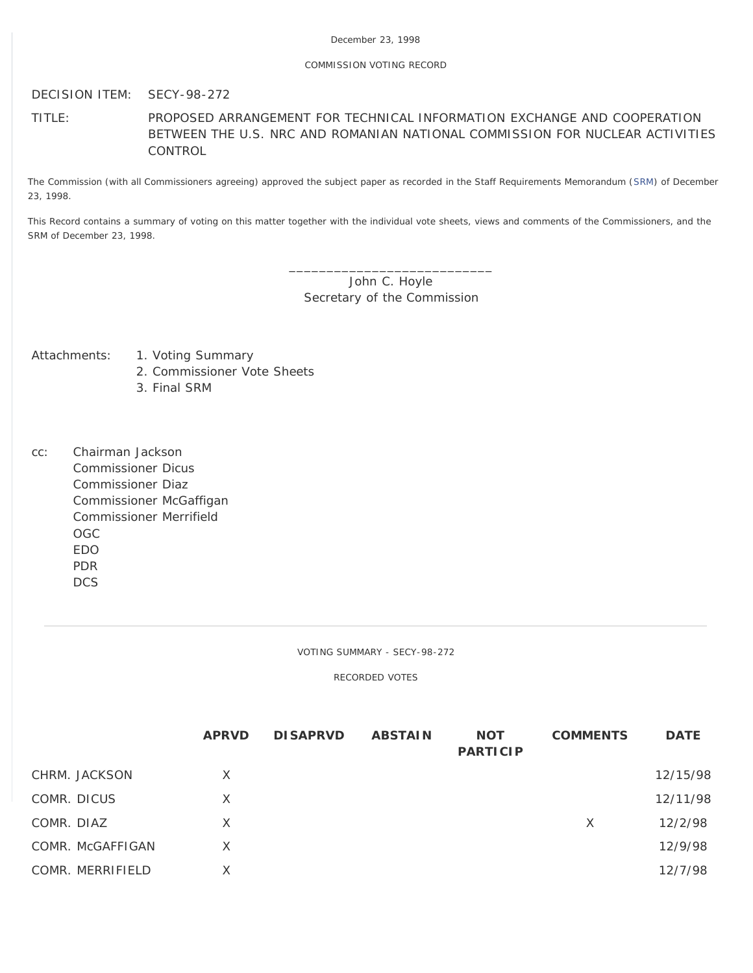## December 23, 1998

## COMMISSION VOTING RECORD

DECISION ITEM: SECY-98-272

TITLE: PROPOSED ARRANGEMENT FOR TECHNICAL INFORMATION EXCHANGE AND COOPERATION BETWEEN THE U.S. NRC AND ROMANIAN NATIONAL COMMISSION FOR NUCLEAR ACTIVITIES **CONTROL** 

The Commission (with all Commissioners agreeing) approved the subject paper as recorded in the Staff Requirements Memorandum [\(SRM](http://www.nrc.gov/reading-rm/doc-collections/commission/srm/1998/1998-272srm.html)) of December 23, 1998.

This Record contains a summary of voting on this matter together with the individual vote sheets, views and comments of the Commissioners, and the SRM of December 23, 1998.

> \_\_\_\_\_\_\_\_\_\_\_\_\_\_\_\_\_\_\_\_\_\_\_\_\_\_\_ John C. Hoyle Secretary of the Commission

- Attachments: 1. Voting Summary
	- 2. Commissioner Vote Sheets
	- 3. Final SRM
- cc: Chairman Jackson Commissioner Dicus Commissioner Diaz Commissioner McGaffigan Commissioner Merrifield OGC EDO PDR DCS

VOTING SUMMARY - SECY-98-272

RECORDED VOTES

|                  | <b>APRVD</b> | <b>DISAPRVD</b> | <b>ABSTAIN</b> | <b>NOT</b><br><b>PARTICIP</b> | <b>COMMENTS</b> | <b>DATE</b> |
|------------------|--------------|-----------------|----------------|-------------------------------|-----------------|-------------|
| CHRM. JACKSON    | $\times$     |                 |                |                               |                 | 12/15/98    |
| COMR. DICUS      | $\times$     |                 |                |                               |                 | 12/11/98    |
| COMR. DIAZ       | X            |                 |                |                               | $\times$        | 12/2/98     |
| COMR. McGAFFIGAN | X            |                 |                |                               |                 | 12/9/98     |
| COMR. MERRIFIELD | X            |                 |                |                               |                 | 12/7/98     |